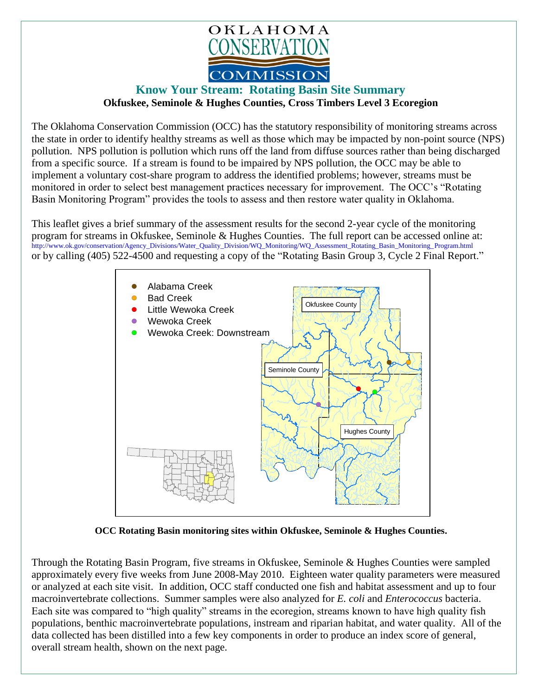

## **Know Your Stream: Rotating Basin Site Summary Okfuskee, Seminole & Hughes Counties, Cross Timbers Level 3 Ecoregion**

The Oklahoma Conservation Commission (OCC) has the statutory responsibility of monitoring streams across the state in order to identify healthy streams as well as those which may be impacted by non-point source (NPS) pollution. NPS pollution is pollution which runs off the land from diffuse sources rather than being discharged from a specific source. If a stream is found to be impaired by NPS pollution, the OCC may be able to implement a voluntary cost-share program to address the identified problems; however, streams must be monitored in order to select best management practices necessary for improvement. The OCC's "Rotating Basin Monitoring Program" provides the tools to assess and then restore water quality in Oklahoma.

This leaflet gives a brief summary of the assessment results for the second 2-year cycle of the monitoring program for streams in Okfuskee, Seminole & Hughes Counties. The full report can be accessed online at: [http://www.ok.gov/conservation/Agency\\_Divisions/Water\\_Quality\\_Division/WQ\\_Monitoring/WQ\\_Assessment\\_Rotating\\_Basin\\_Monitoring\\_Program.html](http://www.ok.gov/conservation/Agency_Divisions/Water_Quality_Division/WQ_Monitoring/WQ_Assessment_Rotating_Basin_Monitoring_Program.html)  or by calling (405) 522-4500 and requesting a copy of the "Rotating Basin Group 3, Cycle 2 Final Report."



**OCC Rotating Basin monitoring sites within Okfuskee, Seminole & Hughes Counties.**

Through the Rotating Basin Program, five streams in Okfuskee, Seminole & Hughes Counties were sampled approximately every five weeks from June 2008-May 2010. Eighteen water quality parameters were measured or analyzed at each site visit. In addition, OCC staff conducted one fish and habitat assessment and up to four macroinvertebrate collections. Summer samples were also analyzed for *E. coli* and *Enterococcus* bacteria. Each site was compared to "high quality" streams in the ecoregion, streams known to have high quality fish populations, benthic macroinvertebrate populations, instream and riparian habitat, and water quality. All of the data collected has been distilled into a few key components in order to produce an index score of general, overall stream health, shown on the next page.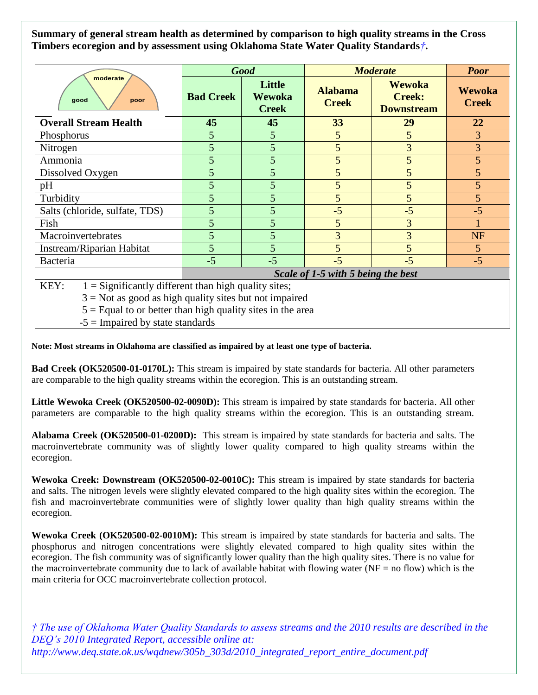**Summary of general stream health as determined by comparison to high quality streams in the Cross Timbers ecoregion and by assessment using Oklahoma State Water Quality Standards***†***.**

|                                                                | <b>Good</b>                        |                                  | <b>Moderate</b>                |                                                     | <b>Poor</b>                   |
|----------------------------------------------------------------|------------------------------------|----------------------------------|--------------------------------|-----------------------------------------------------|-------------------------------|
| moderate<br>good<br>poor                                       | <b>Bad Creek</b>                   | Little<br>Wewoka<br><b>Creek</b> | <b>Alabama</b><br><b>Creek</b> | <b>Wewoka</b><br><b>Creek:</b><br><b>Downstream</b> | <b>Wewoka</b><br><b>Creek</b> |
| <b>Overall Stream Health</b>                                   | 45                                 | 45                               | 33                             | 29                                                  | 22                            |
| Phosphorus                                                     | 5                                  | 5                                | 5                              | 5                                                   | 3                             |
| Nitrogen                                                       | $\overline{5}$                     | 5                                | 5                              | $\overline{3}$                                      | 3                             |
| Ammonia                                                        | 5                                  | 5                                | 5                              | 5                                                   | $\overline{5}$                |
| Dissolved Oxygen                                               | 5                                  | 5                                | 5                              | 5                                                   | 5 <sup>5</sup>                |
| pH                                                             | 5                                  | 5                                | 5                              | 5                                                   | 5 <sup>5</sup>                |
| Turbidity                                                      | 5                                  | 5                                | 5                              | 5                                                   | 5 <sup>5</sup>                |
| Salts (chloride, sulfate, TDS)                                 | 5                                  | 5                                | $-5$                           | $-5$                                                | $-5$                          |
| Fish                                                           | 5                                  | 5                                | 5                              | 3                                                   |                               |
| Macroinvertebrates                                             | 5                                  | 5                                | 3                              | 3                                                   | <b>NF</b>                     |
| Instream/Riparian Habitat                                      | $\overline{5}$                     | 5                                | 5                              | $\overline{5}$                                      | 5 <sup>5</sup>                |
| Bacteria                                                       | $-5$                               | $-5$                             | $-5$                           | $-5$                                                | $-5$                          |
|                                                                | Scale of 1-5 with 5 being the best |                                  |                                |                                                     |                               |
| KEY:<br>$1 =$ Significantly different than high quality sites; |                                    |                                  |                                |                                                     |                               |

 $3 = Not$  as good as high quality sites but not impaired

 $5 =$  Equal to or better than high quality sites in the area

 $-5 =$  Impaired by state standards

**Note: Most streams in Oklahoma are classified as impaired by at least one type of bacteria.**

**Bad Creek (OK520500-01-0170L):** This stream is impaired by state standards for bacteria. All other parameters are comparable to the high quality streams within the ecoregion. This is an outstanding stream.

**Little Wewoka Creek (OK520500-02-0090D):** This stream is impaired by state standards for bacteria. All other parameters are comparable to the high quality streams within the ecoregion. This is an outstanding stream.

**Alabama Creek (OK520500-01-0200D):** This stream is impaired by state standards for bacteria and salts. The macroinvertebrate community was of slightly lower quality compared to high quality streams within the ecoregion.

**Wewoka Creek: Downstream (OK520500-02-0010C):** This stream is impaired by state standards for bacteria and salts. The nitrogen levels were slightly elevated compared to the high quality sites within the ecoregion. The fish and macroinvertebrate communities were of slightly lower quality than high quality streams within the ecoregion.

**Wewoka Creek (OK520500-02-0010M):** This stream is impaired by state standards for bacteria and salts. The phosphorus and nitrogen concentrations were slightly elevated compared to high quality sites within the ecoregion. The fish community was of significantly lower quality than the high quality sites. There is no value for the macroinvertebrate community due to lack of available habitat with flowing water ( $NF =$  no flow) which is the main criteria for OCC macroinvertebrate collection protocol.

*† The use of Oklahoma Water Quality Standards to assess streams and the 2010 results are described in the DEQ's 2010 Integrated Report, accessible online at: http://www.deq.state.ok.us/wqdnew/305b\_303d/2010\_integrated\_report\_entire\_document.pdf*